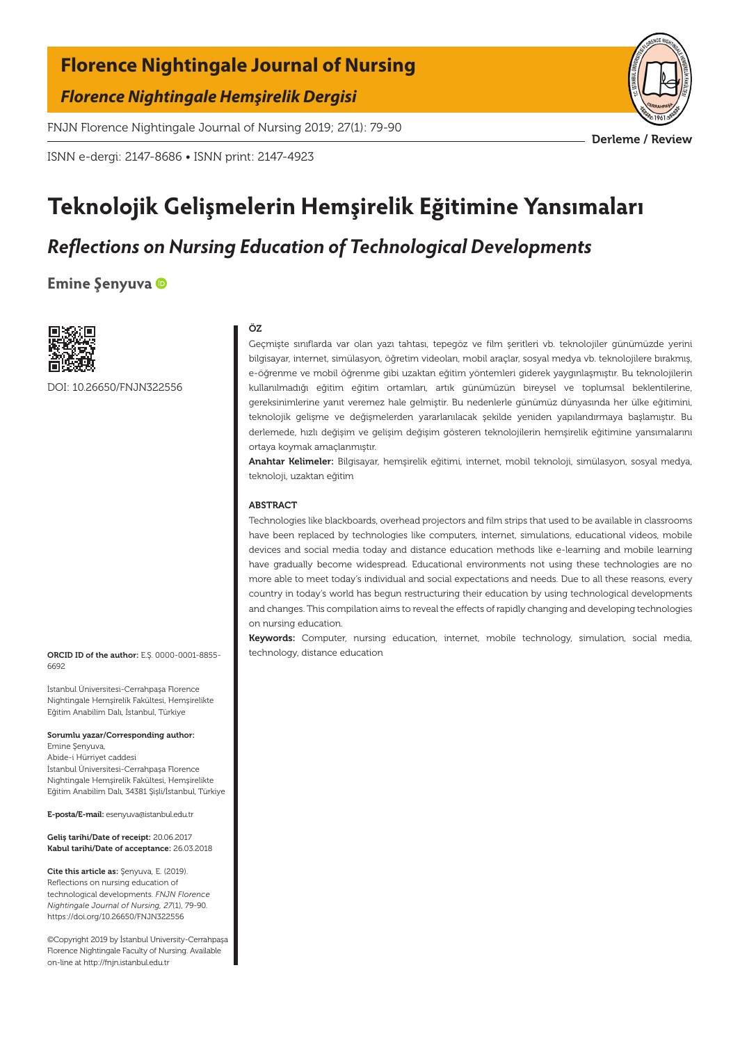### **Florence Nightingale Journal of Nursing**

*Florence Nightingale Hemşirelik Dergisi*

FNJN Florence Nightingale Journal of Nursing 2019; 27(1): 79-90

ISNN e-dergi: 2147-8686 • ISNN print: 2147-4923

# **Teknolojik Gelişmelerin Hemşirelik Eğitimine Yansımaları**

## *Reflections on Nursing Education of Technological Developments*

**Emine Şenyuva**



DOI: 10.26650/FNJN322556

#### ÖZ

Geçmişte sınıflarda var olan yazı tahtası, tepegöz ve film şeritleri vb. teknolojiler günümüzde yerini bilgisayar, internet, simülasyon, öğretim videoları, mobil araçlar, sosyal medya vb. teknolojilere bırakmış, e-öğrenme ve mobil öğrenme gibi uzaktan eğitim yöntemleri giderek yaygınlaşmıştır. Bu teknolojilerin kullanılmadığı eğitim eğitim ortamları, artık günümüzün bireysel ve toplumsal beklentilerine, gereksinimlerine yanıt veremez hale gelmiştir. Bu nedenlerle günümüz dünyasında her ülke eğitimini, teknolojik gelişme ve değişmelerden yararlanılacak şekilde yeniden yapılandırmaya başlamıştır. Bu derlemede, hızlı değişim ve gelişim değişim gösteren teknolojilerin hemşirelik eğitimine yansımalarını ortaya koymak amaçlanmıştır.

Anahtar Kelimeler: Bilgisayar, hemşirelik eğitimi, internet, mobil teknoloji, simülasyon, sosyal medya, teknoloji, uzaktan eğitim

#### ABSTRACT

Technologies like blackboards, overhead projectors and film strips that used to be available in classrooms have been replaced by technologies like computers, internet, simulations, educational videos, mobile devices and social media today and distance education methods like e-learning and mobile learning have gradually become widespread. Educational environments not using these technologies are no more able to meet today's individual and social expectations and needs. Due to all these reasons, every country in today's world has begun restructuring their education by using technological developments and changes. This compilation aims to reveal the effects of rapidly changing and developing technologies on nursing education.

Keywords: Computer, nursing education, internet, mobile technology, simulation, social media, technology, distance education

ORCID ID of the author: E.Ş. 0000-0001-8855- 6692

İstanbul Üniversitesi-Cerrahpaşa Florence Nightingale Hemşirelik Fakültesi, Hemşirelikte Eğitim Anabilim Dalı, İstanbul, Türkiye

Sorumlu yazar/Corresponding author:

Emine Şenyuva, Abide-i Hürriyet caddesi İstanbul Üniversitesi-Cerrahpaşa Florence Nightingale Hemşirelik Fakültesi, Hemşirelikte Eğitim Anabilim Dalı, 34381 Şişli/İstanbul, Türkiye

E-posta/E-mail: esenyuva@istanbul.edu.tr

Geliş tarihi/Date of receipt: 20.06.2017 Kabul tarihi/Date of acceptance: 26.03.2018

Cite this article as: Şenyuva, E. (2019). Reflections on nursing education of technological developments. *FNJN Florence Nightingale Journal of Nursing, 27*(1), 79-90. https://doi.org/10.26650/FNJN322556

©Copyright 2019 by İstanbul University-Cerrahpaşa Florence Nightingale Faculty of Nursing. Available on-line at http://fnjn.istanbul.edu.tr



Derleme / Review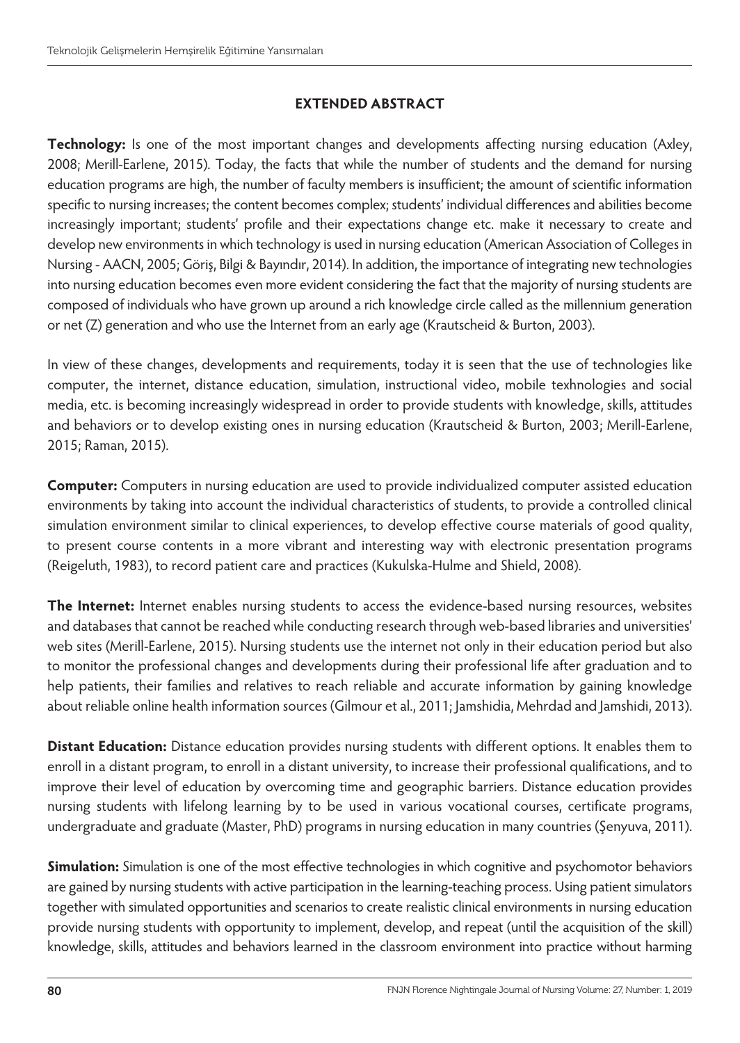#### **EXTENDED ABSTRACT**

**Technology:** Is one of the most important changes and developments affecting nursing education (Axley, 2008; Merill-Earlene, 2015). Today, the facts that while the number of students and the demand for nursing education programs are high, the number of faculty members is insufficient; the amount of scientific information specific to nursing increases; the content becomes complex; students' individual differences and abilities become increasingly important; students' profile and their expectations change etc. make it necessary to create and develop new environments in which technology is used in nursing education (American Association of Colleges in Nursing - AACN, 2005; Göriş, Bilgi & Bayındır, 2014). In addition, the importance of integrating new technologies into nursing education becomes even more evident considering the fact that the majority of nursing students are composed of individuals who have grown up around a rich knowledge circle called as the millennium generation or net (Z) generation and who use the Internet from an early age (Krautscheid & Burton, 2003).

In view of these changes, developments and requirements, today it is seen that the use of technologies like computer, the internet, distance education, simulation, instructional video, mobile texhnologies and social media, etc. is becoming increasingly widespread in order to provide students with knowledge, skills, attitudes and behaviors or to develop existing ones in nursing education (Krautscheid & Burton, 2003; Merill-Earlene, 2015; Raman, 2015).

**Computer:** Computers in nursing education are used to provide individualized computer assisted education environments by taking into account the individual characteristics of students, to provide a controlled clinical simulation environment similar to clinical experiences, to develop effective course materials of good quality, to present course contents in a more vibrant and interesting way with electronic presentation programs (Reigeluth, 1983), to record patient care and practices (Kukulska-Hulme and Shield, 2008).

**The Internet:** Internet enables nursing students to access the evidence-based nursing resources, websites and databases that cannot be reached while conducting research through web-based libraries and universities' web sites (Merill-Earlene, 2015). Nursing students use the internet not only in their education period but also to monitor the professional changes and developments during their professional life after graduation and to help patients, their families and relatives to reach reliable and accurate information by gaining knowledge about reliable online health information sources (Gilmour et al., 2011; Jamshidia, Mehrdad and Jamshidi, 2013).

**Distant Education:** Distance education provides nursing students with different options. It enables them to enroll in a distant program, to enroll in a distant university, to increase their professional qualifications, and to improve their level of education by overcoming time and geographic barriers. Distance education provides nursing students with lifelong learning by to be used in various vocational courses, certificate programs, undergraduate and graduate (Master, PhD) programs in nursing education in many countries (Şenyuva, 2011).

**Simulation:** Simulation is one of the most effective technologies in which cognitive and psychomotor behaviors are gained by nursing students with active participation in the learning-teaching process. Using patient simulators together with simulated opportunities and scenarios to create realistic clinical environments in nursing education provide nursing students with opportunity to implement, develop, and repeat (until the acquisition of the skill) knowledge, skills, attitudes and behaviors learned in the classroom environment into practice without harming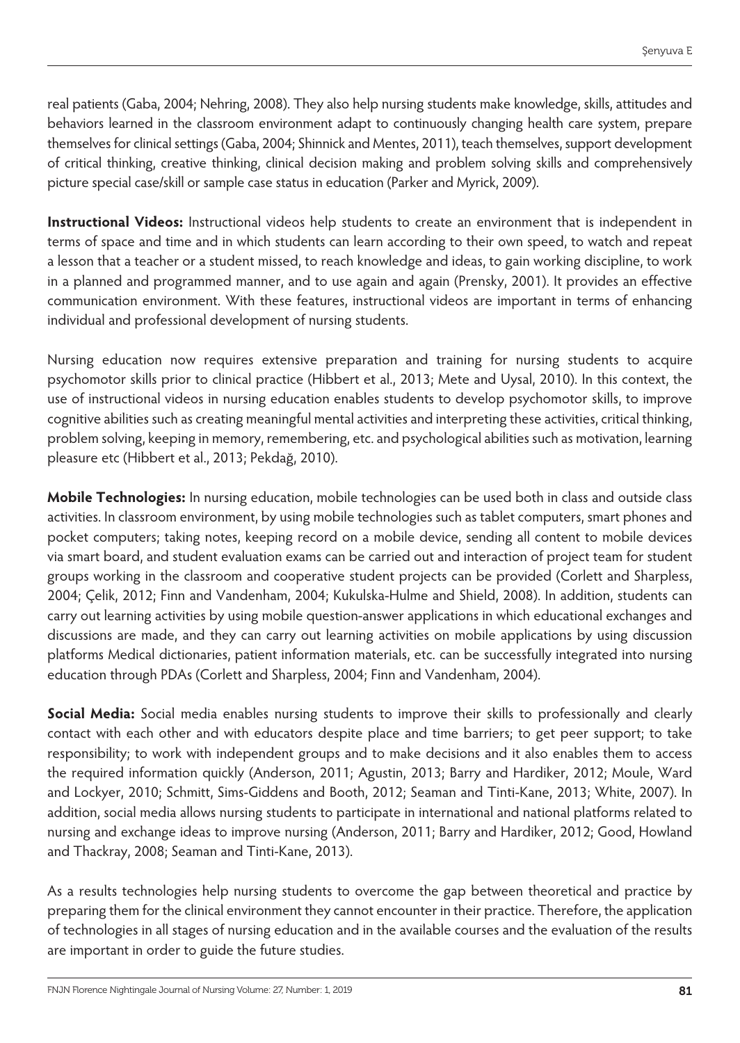real patients (Gaba, 2004; Nehring, 2008). They also help nursing students make knowledge, skills, attitudes and behaviors learned in the classroom environment adapt to continuously changing health care system, prepare themselves for clinical settings (Gaba, 2004; Shinnick and Mentes, 2011), teach themselves, support development of critical thinking, creative thinking, clinical decision making and problem solving skills and comprehensively picture special case/skill or sample case status in education (Parker and Myrick, 2009).

**Instructional Videos:** Instructional videos help students to create an environment that is independent in terms of space and time and in which students can learn according to their own speed, to watch and repeat a lesson that a teacher or a student missed, to reach knowledge and ideas, to gain working discipline, to work in a planned and programmed manner, and to use again and again (Prensky, 2001). It provides an effective communication environment. With these features, instructional videos are important in terms of enhancing individual and professional development of nursing students.

Nursing education now requires extensive preparation and training for nursing students to acquire psychomotor skills prior to clinical practice (Hibbert et al., 2013; Mete and Uysal, 2010). In this context, the use of instructional videos in nursing education enables students to develop psychomotor skills, to improve cognitive abilities such as creating meaningful mental activities and interpreting these activities, critical thinking, problem solving, keeping in memory, remembering, etc. and psychological abilities such as motivation, learning pleasure etc (Hibbert et al., 2013; Pekdağ, 2010).

**Mobile Technologies:** In nursing education, mobile technologies can be used both in class and outside class activities. In classroom environment, by using mobile technologies such as tablet computers, smart phones and pocket computers; taking notes, keeping record on a mobile device, sending all content to mobile devices via smart board, and student evaluation exams can be carried out and interaction of project team for student groups working in the classroom and cooperative student projects can be provided (Corlett and Sharpless, 2004; Çelik, 2012; Finn and Vandenham, 2004; Kukulska-Hulme and Shield, 2008). In addition, students can carry out learning activities by using mobile question-answer applications in which educational exchanges and discussions are made, and they can carry out learning activities on mobile applications by using discussion platforms Medical dictionaries, patient information materials, etc. can be successfully integrated into nursing education through PDAs (Corlett and Sharpless, 2004; Finn and Vandenham, 2004).

**Social Media:** Social media enables nursing students to improve their skills to professionally and clearly contact with each other and with educators despite place and time barriers; to get peer support; to take responsibility; to work with independent groups and to make decisions and it also enables them to access the required information quickly (Anderson, 2011; Agustin, 2013; Barry and Hardiker, 2012; Moule, Ward and Lockyer, 2010; Schmitt, Sims-Giddens and Booth, 2012; Seaman and Tinti-Kane, 2013; White, 2007). In addition, social media allows nursing students to participate in international and national platforms related to nursing and exchange ideas to improve nursing (Anderson, 2011; Barry and Hardiker, 2012; Good, Howland and Thackray, 2008; Seaman and Tinti-Kane, 2013).

As a results technologies help nursing students to overcome the gap between theoretical and practice by preparing them for the clinical environment they cannot encounter in their practice. Therefore, the application of technologies in all stages of nursing education and in the available courses and the evaluation of the results are important in order to guide the future studies.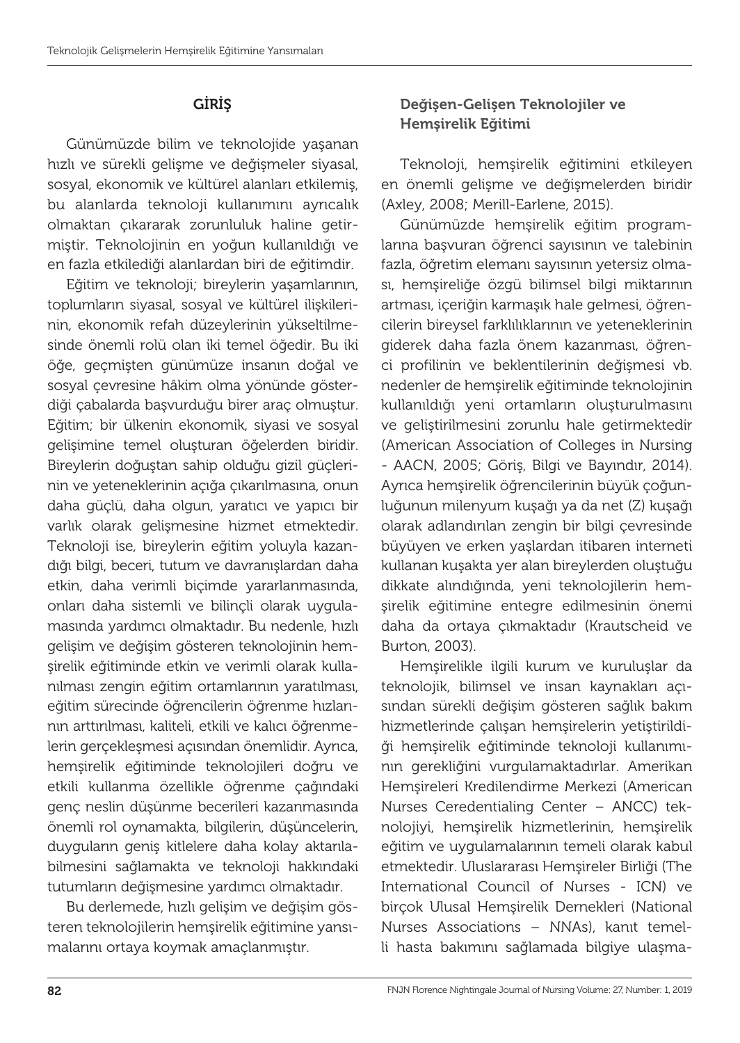### GİRİŞ

Günümüzde bilim ve teknolojide yaşanan hızlı ve sürekli gelişme ve değişmeler siyasal, sosyal, ekonomik ve kültürel alanları etkilemiş, bu alanlarda teknoloji kullanımını ayrıcalık olmaktan çıkararak zorunluluk haline getirmiştir. Teknolojinin en yoğun kullanıldığı ve en fazla etkilediği alanlardan biri de eğitimdir.

Eğitim ve teknoloji; bireylerin yaşamlarının, toplumların siyasal, sosyal ve kültürel ilişkilerinin, ekonomik refah düzeylerinin yükseltilmesinde önemli rolü olan iki temel öğedir. Bu iki öğe, geçmişten günümüze insanın doğal ve sosyal çevresine hâkim olma yönünde gösterdiği çabalarda başvurduğu birer araç olmuştur. Eğitim; bir ülkenin ekonomik, siyasi ve sosyal gelişimine temel oluşturan öğelerden biridir. Bireylerin doğuştan sahip olduğu gizil güçlerinin ve yeteneklerinin açığa çıkarılmasına, onun daha güçlü, daha olgun, yaratıcı ve yapıcı bir varlık olarak gelişmesine hizmet etmektedir. Teknoloji ise, bireylerin eğitim yoluyla kazandığı bilgi, beceri, tutum ve davranışlardan daha etkin, daha verimli biçimde yararlanmasında, onları daha sistemli ve bilinçli olarak uygulamasında yardımcı olmaktadır. Bu nedenle, hızlı gelişim ve değişim gösteren teknolojinin hemşirelik eğitiminde etkin ve verimli olarak kullanılması zengin eğitim ortamlarının yaratılması, eğitim sürecinde öğrencilerin öğrenme hızlarının arttırılması, kaliteli, etkili ve kalıcı öğrenmelerin gerçekleşmesi açısından önemlidir. Ayrıca, hemşirelik eğitiminde teknolojileri doğru ve etkili kullanma özellikle öğrenme çağındaki genç neslin düşünme becerileri kazanmasında önemli rol oynamakta, bilgilerin, düşüncelerin, duyguların geniş kitlelere daha kolay aktarılabilmesini sağlamakta ve teknoloji hakkındaki tutumların değişmesine yardımcı olmaktadır.

Bu derlemede, hızlı gelişim ve değişim gösteren teknolojilerin hemşirelik eğitimine yansımalarını ortaya koymak amaçlanmıştır.

### Değişen-Gelişen Teknolojiler ve Hemşirelik Eğitimi

Teknoloji, hemşirelik eğitimini etkileyen en önemli gelişme ve değişmelerden biridir (Axley, 2008; Merill-Earlene, 2015).

Günümüzde hemşirelik eğitim programlarına başvuran öğrenci sayısının ve talebinin fazla, öğretim elemanı sayısının yetersiz olması, hemşireliğe özgü bilimsel bilgi miktarının artması, içeriğin karmaşık hale gelmesi, öğrencilerin bireysel farklılıklarının ve yeteneklerinin giderek daha fazla önem kazanması, öğrenci profilinin ve beklentilerinin değişmesi vb. nedenler de hemşirelik eğitiminde teknolojinin kullanıldığı yeni ortamların oluşturulmasını ve geliştirilmesini zorunlu hale getirmektedir (American Association of Colleges in Nursing - AACN, 2005; Göriş, Bilgi ve Bayındır, 2014). Ayrıca hemşirelik öğrencilerinin büyük çoğunluğunun milenyum kuşağı ya da net (Z) kuşağı olarak adlandırılan zengin bir bilgi çevresinde büyüyen ve erken yaşlardan itibaren interneti kullanan kuşakta yer alan bireylerden oluştuğu dikkate alındığında, yeni teknolojilerin hemşirelik eğitimine entegre edilmesinin önemi daha da ortaya çıkmaktadır (Krautscheid ve Burton, 2003).

Hemşirelikle ilgili kurum ve kuruluşlar da teknolojik, bilimsel ve insan kaynakları açısından sürekli değişim gösteren sağlık bakım hizmetlerinde çalışan hemşirelerin yetiştirildiği hemşirelik eğitiminde teknoloji kullanımının gerekliğini vurgulamaktadırlar. Amerikan Hemşireleri Kredilendirme Merkezi (American Nurses Ceredentialing Center – ANCC) teknolojiyi, hemşirelik hizmetlerinin, hemşirelik eğitim ve uygulamalarının temeli olarak kabul etmektedir. Uluslararası Hemşireler Birliği (The International Council of Nurses - ICN) ve birçok Ulusal Hemşirelik Dernekleri (National Nurses Associations – NNAs), kanıt temelli hasta bakımını sağlamada bilgiye ulaşma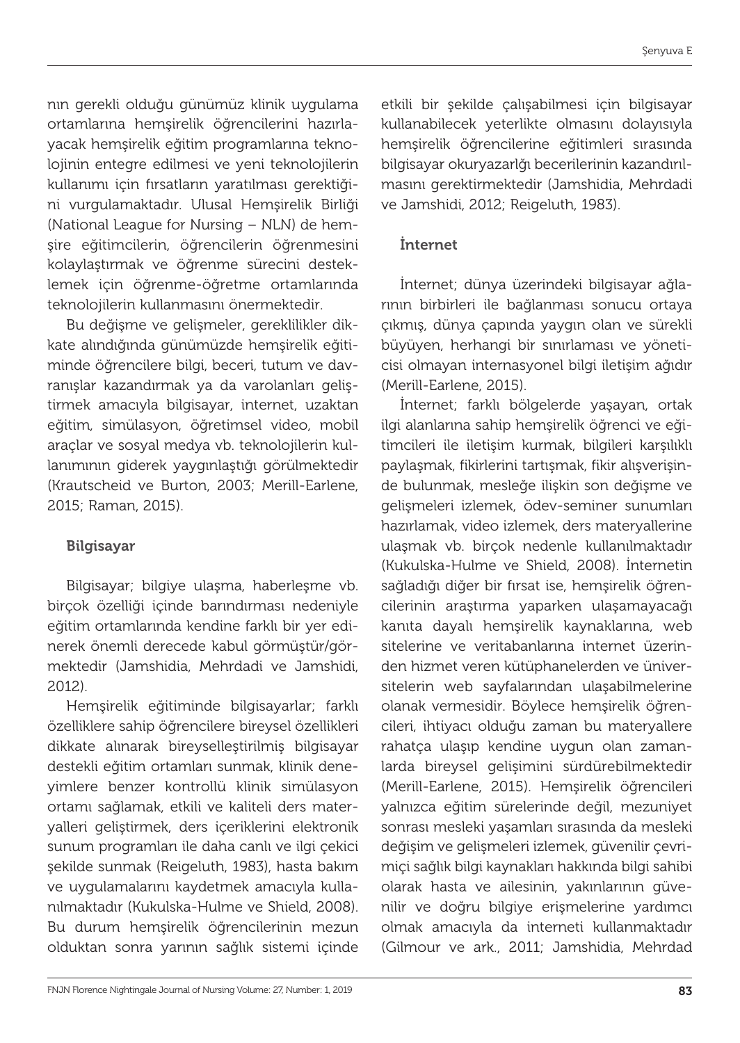nın gerekli olduğu günümüz klinik uygulama ortamlarına hemşirelik öğrencilerini hazırlayacak hemşirelik eğitim programlarına teknolojinin entegre edilmesi ve yeni teknolojilerin kullanımı için fırsatların yaratılması gerektiğini vurgulamaktadır. Ulusal Hemşirelik Birliği (National League for Nursing – NLN) de hemşire eğitimcilerin, öğrencilerin öğrenmesini kolaylaştırmak ve öğrenme sürecini desteklemek için öğrenme-öğretme ortamlarında teknolojilerin kullanmasını önermektedir.

Bu değişme ve gelişmeler, gereklilikler dikkate alındığında günümüzde hemşirelik eğitiminde öğrencilere bilgi, beceri, tutum ve davranışlar kazandırmak ya da varolanları geliştirmek amacıyla bilgisayar, internet, uzaktan eğitim, simülasyon, öğretimsel video, mobil araçlar ve sosyal medya vb. teknolojilerin kullanımının giderek yaygınlaştığı görülmektedir (Krautscheid ve Burton, 2003; Merill-Earlene, 2015; Raman, 2015).

#### Bilgisayar

Bilgisayar; bilgiye ulaşma, haberleşme vb. birçok özelliği içinde barındırması nedeniyle eğitim ortamlarında kendine farklı bir yer edinerek önemli derecede kabul görmüştür/görmektedir (Jamshidia, Mehrdadi ve Jamshidi, 2012).

Hemşirelik eğitiminde bilgisayarlar; farklı özelliklere sahip öğrencilere bireysel özellikleri dikkate alınarak bireyselleştirilmiş bilgisayar destekli eğitim ortamları sunmak, klinik deneyimlere benzer kontrollü klinik simülasyon ortamı sağlamak, etkili ve kaliteli ders materyalleri geliştirmek, ders içeriklerini elektronik sunum programları ile daha canlı ve ilgi çekici şekilde sunmak (Reigeluth, 1983), hasta bakım ve uygulamalarını kaydetmek amacıyla kullanılmaktadır (Kukulska-Hulme ve Shield, 2008). Bu durum hemşirelik öğrencilerinin mezun olduktan sonra yarının sağlık sistemi içinde

etkili bir şekilde çalışabilmesi için bilgisayar kullanabilecek yeterlikte olmasını dolayısıyla hemşirelik öğrencilerine eğitimleri sırasında bilgisayar okuryazarlğı becerilerinin kazandırılmasını gerektirmektedir (Jamshidia, Mehrdadi ve Jamshidi, 2012; Reigeluth, 1983).

#### İnternet

İnternet; dünya üzerindeki bilgisayar ağlarının birbirleri ile bağlanması sonucu ortaya çıkmış, dünya çapında yaygın olan ve sürekli büyüyen, herhangi bir sınırlaması ve yöneticisi olmayan internasyonel bilgi iletişim ağıdır (Merill-Earlene, 2015).

İnternet; farklı bölgelerde yaşayan, ortak ilgi alanlarına sahip hemşirelik öğrenci ve eğitimcileri ile iletişim kurmak, bilgileri karşılıklı paylaşmak, fikirlerini tartışmak, fikir alışverişinde bulunmak, mesleğe ilişkin son değişme ve gelişmeleri izlemek, ödev-seminer sunumları hazırlamak, video izlemek, ders materyallerine ulaşmak vb. birçok nedenle kullanılmaktadır (Kukulska-Hulme ve Shield, 2008). İnternetin sağladığı diğer bir fırsat ise, hemşirelik öğrencilerinin araştırma yaparken ulaşamayacağı kanıta dayalı hemşirelik kaynaklarına, web sitelerine ve veritabanlarına internet üzerinden hizmet veren kütüphanelerden ve üniversitelerin web sayfalarından ulaşabilmelerine olanak vermesidir. Böylece hemşirelik öğrencileri, ihtiyacı olduğu zaman bu materyallere rahatça ulaşıp kendine uygun olan zamanlarda bireysel gelişimini sürdürebilmektedir (Merill-Earlene, 2015). Hemşirelik öğrencileri yalnızca eğitim sürelerinde değil, mezuniyet sonrası mesleki yaşamları sırasında da mesleki değişim ve gelişmeleri izlemek, güvenilir çevrimiçi sağlık bilgi kaynakları hakkında bilgi sahibi olarak hasta ve ailesinin, yakınlarının güvenilir ve doğru bilgiye erişmelerine yardımcı olmak amacıyla da interneti kullanmaktadır (Gilmour ve ark., 2011; Jamshidia, Mehrdad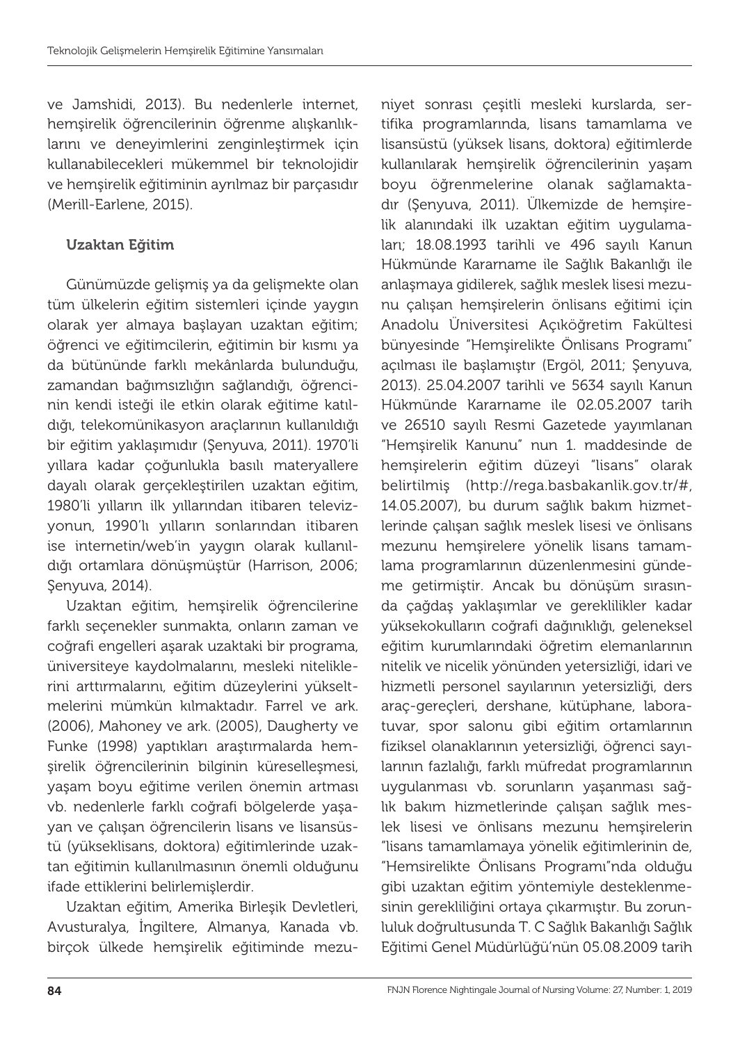ve Jamshidi, 2013). Bu nedenlerle internet, hemşirelik öğrencilerinin öğrenme alışkanlıklarını ve deneyimlerini zenginleştirmek için kullanabilecekleri mükemmel bir teknolojidir ve hemşirelik eğitiminin ayrılmaz bir parçasıdır (Merill-Earlene, 2015).

#### Uzaktan Eğitim

Günümüzde gelişmiş ya da gelişmekte olan tüm ülkelerin eğitim sistemleri içinde yaygın olarak yer almaya başlayan uzaktan eğitim; öğrenci ve eğitimcilerin, eğitimin bir kısmı ya da bütününde farklı mekânlarda bulunduğu, zamandan bağımsızlığın sağlandığı, öğrencinin kendi isteği ile etkin olarak eğitime katıldığı, telekomünikasyon araçlarının kullanıldığı bir eğitim yaklaşımıdır (Şenyuva, 2011). 1970'li yıllara kadar çoğunlukla basılı materyallere dayalı olarak gerçekleştirilen uzaktan eğitim, 1980'li yılların ilk yıllarından itibaren televizyonun, 1990'lı yılların sonlarından itibaren ise internetin/web'in yaygın olarak kullanıldığı ortamlara dönüşmüştür (Harrison, 2006; Şenyuva, 2014).

Uzaktan eğitim, hemşirelik öğrencilerine farklı seçenekler sunmakta, onların zaman ve coğrafi engelleri aşarak uzaktaki bir programa, üniversiteye kaydolmalarını, mesleki niteliklerini arttırmalarını, eğitim düzeylerini yükseltmelerini mümkün kılmaktadır. Farrel ve ark. (2006), Mahoney ve ark. (2005), Daugherty ve Funke (1998) yaptıkları araştırmalarda hemşirelik öğrencilerinin bilginin küreselleşmesi, yaşam boyu eğitime verilen önemin artması vb. nedenlerle farklı coğrafi bölgelerde yaşayan ve çalışan öğrencilerin lisans ve lisansüstü (yükseklisans, doktora) eğitimlerinde uzaktan eğitimin kullanılmasının önemli olduğunu ifade ettiklerini belirlemişlerdir.

Uzaktan eğitim, Amerika Birleşik Devletleri, Avusturalya, İngiltere, Almanya, Kanada vb. birçok ülkede hemşirelik eğitiminde mezuniyet sonrası çeşitli mesleki kurslarda, sertifika programlarında, lisans tamamlama ve lisansüstü (yüksek lisans, doktora) eğitimlerde kullanılarak hemşirelik öğrencilerinin yaşam boyu öğrenmelerine olanak sağlamaktadır (Şenyuva, 2011). Ülkemizde de hemşirelik alanındaki ilk uzaktan eğitim uygulamaları; 18.08.1993 tarihli ve 496 sayılı Kanun Hükmünde Kararname ile Sağlık Bakanlığı ile anlaşmaya gidilerek, sağlık meslek lisesi mezunu çalışan hemşirelerin önlisans eğitimi için Anadolu Üniversitesi Açıköğretim Fakültesi bünyesinde "Hemşirelikte Önlisans Programı" açılması ile başlamıştır (Ergöl, 2011; Şenyuva, 2013). 25.04.2007 tarihli ve 5634 sayılı Kanun Hükmünde Kararname ile 02.05.2007 tarih ve 26510 sayılı Resmi Gazetede yayımlanan "Hemşirelik Kanunu" nun 1. maddesinde de hemşirelerin eğitim düzeyi "lisans" olarak belirtilmiş (http://rega.basbakanlik.gov.tr/#, 14.05.2007), bu durum sağlık bakım hizmetlerinde çalışan sağlık meslek lisesi ve önlisans mezunu hemşirelere yönelik lisans tamamlama programlarının düzenlenmesini gündeme getirmiştir. Ancak bu dönüşüm sırasında çağdaş yaklaşımlar ve gereklilikler kadar yüksekokulların coğrafi dağınıklığı, geleneksel eğitim kurumlarındaki öğretim elemanlarının nitelik ve nicelik yönünden yetersizliği, idari ve hizmetli personel sayılarının yetersizliği, ders araç-gereçleri, dershane, kütüphane, laboratuvar, spor salonu gibi eğitim ortamlarının fiziksel olanaklarının yetersizliği, öğrenci sayılarının fazlalığı, farklı müfredat programlarının uygulanması vb. sorunların yaşanması sağlık bakım hizmetlerinde çalışan sağlık meslek lisesi ve önlisans mezunu hemşirelerin "lisans tamamlamaya yönelik eğitimlerinin de, "Hemsirelikte Önlisans Programı"nda olduğu gibi uzaktan eğitim yöntemiyle desteklenmesinin gerekliliğini ortaya çıkarmıştır. Bu zorunluluk doğrultusunda T. C Sağlık Bakanlığı Sağlık Eğitimi Genel Müdürlüğü'nün 05.08.2009 tarih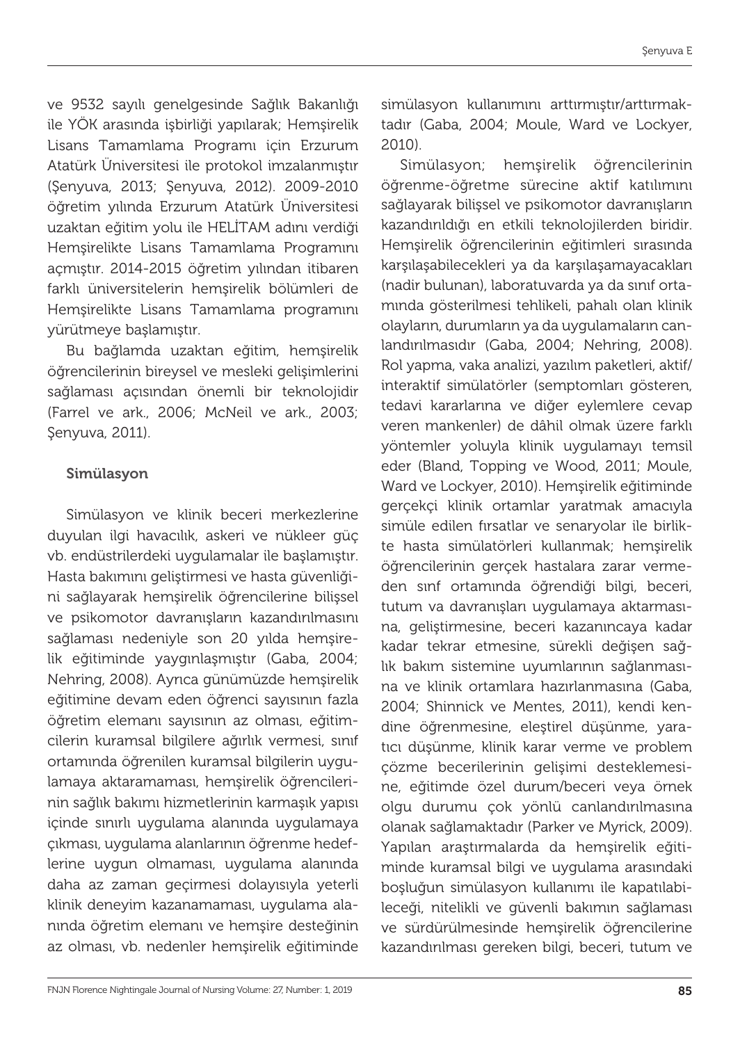ve 9532 sayılı genelgesinde Sağlık Bakanlığı ile YÖK arasında işbirliği yapılarak; Hemşirelik Lisans Tamamlama Programı için Erzurum Atatürk Üniversitesi ile protokol imzalanmıştır (Şenyuva, 2013; Şenyuva, 2012). 2009-2010 öğretim yılında Erzurum Atatürk Üniversitesi uzaktan eğitim yolu ile HELİTAM adını verdiği Hemşirelikte Lisans Tamamlama Programını açmıştır. 2014-2015 öğretim yılından itibaren farklı üniversitelerin hemşirelik bölümleri de Hemşirelikte Lisans Tamamlama programını yürütmeye başlamıştır.

Bu bağlamda uzaktan eğitim, hemşirelik öğrencilerinin bireysel ve mesleki gelişimlerini sağlaması açısından önemli bir teknolojidir (Farrel ve ark., 2006; McNeil ve ark., 2003; Şenyuva, 2011).

#### Simülasyon

Simülasyon ve klinik beceri merkezlerine duyulan ilgi havacılık, askeri ve nükleer güç vb. endüstrilerdeki uygulamalar ile başlamıştır. Hasta bakımını geliştirmesi ve hasta güvenliğini sağlayarak hemşirelik öğrencilerine bilişsel ve psikomotor davranışların kazandırılmasını sağlaması nedeniyle son 20 yılda hemşirelik eğitiminde yaygınlaşmıştır (Gaba, 2004; Nehring, 2008). Ayrıca günümüzde hemşirelik eğitimine devam eden öğrenci sayısının fazla öğretim elemanı sayısının az olması, eğitimcilerin kuramsal bilgilere ağırlık vermesi, sınıf ortamında öğrenilen kuramsal bilgilerin uygulamaya aktaramaması, hemşirelik öğrencilerinin sağlık bakımı hizmetlerinin karmaşık yapısı içinde sınırlı uygulama alanında uygulamaya çıkması, uygulama alanlarının öğrenme hedeflerine uygun olmaması, uygulama alanında daha az zaman geçirmesi dolayısıyla yeterli klinik deneyim kazanamaması, uygulama alanında öğretim elemanı ve hemşire desteğinin az olması, vb. nedenler hemşirelik eğitiminde

simülasyon kullanımını arttırmıştır/arttırmaktadır (Gaba, 2004; Moule, Ward ve Lockyer, 2010).

Simülasyon; hemşirelik öğrencilerinin öğrenme-öğretme sürecine aktif katılımını sağlayarak bilişsel ve psikomotor davranışların kazandırıldığı en etkili teknolojilerden biridir. Hemşirelik öğrencilerinin eğitimleri sırasında karşılaşabilecekleri ya da karşılaşamayacakları (nadir bulunan), laboratuvarda ya da sınıf ortamında gösterilmesi tehlikeli, pahalı olan klinik olayların, durumların ya da uygulamaların canlandırılmasıdır (Gaba, 2004; Nehring, 2008). Rol yapma, vaka analizi, yazılım paketleri, aktif/ interaktif simülatörler (semptomları gösteren, tedavi kararlarına ve diğer eylemlere cevap veren mankenler) de dâhil olmak üzere farklı yöntemler yoluyla klinik uygulamayı temsil eder (Bland, Topping ve Wood, 2011; Moule, Ward ve Lockyer, 2010). Hemşirelik eğitiminde gerçekçi klinik ortamlar yaratmak amacıyla simüle edilen fırsatlar ve senaryolar ile birlikte hasta simülatörleri kullanmak; hemşirelik öğrencilerinin gerçek hastalara zarar vermeden sınf ortamında öğrendiği bilgi, beceri, tutum va davranışları uygulamaya aktarmasına, geliştirmesine, beceri kazanıncaya kadar kadar tekrar etmesine, sürekli değişen sağlık bakım sistemine uyumlarının sağlanmasına ve klinik ortamlara hazırlanmasına (Gaba, 2004; Shinnick ve Mentes, 2011), kendi kendine öğrenmesine, eleştirel düşünme, yaratıcı düşünme, klinik karar verme ve problem çözme becerilerinin gelişimi desteklemesine, eğitimde özel durum/beceri veya örnek olgu durumu çok yönlü canlandırılmasına olanak sağlamaktadır (Parker ve Myrick, 2009). Yapılan araştırmalarda da hemşirelik eğitiminde kuramsal bilgi ve uygulama arasındaki boşluğun simülasyon kullanımı ile kapatılabileceği, nitelikli ve güvenli bakımın sağlaması ve sürdürülmesinde hemşirelik öğrencilerine kazandırılması gereken bilgi, beceri, tutum ve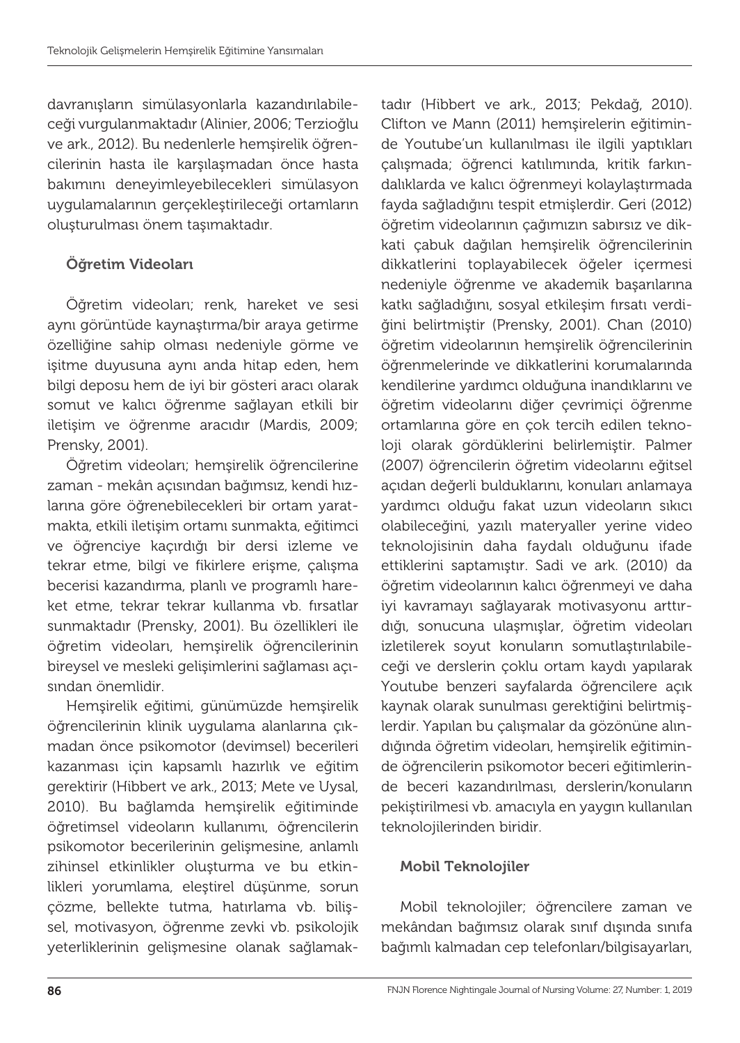davranışların simülasyonlarla kazandırılabileceği vurgulanmaktadır (Alinier, 2006; Terzioğlu ve ark., 2012). Bu nedenlerle hemşirelik öğrencilerinin hasta ile karşılaşmadan önce hasta bakımını deneyimleyebilecekleri simülasyon uygulamalarının gerçekleştirileceği ortamların oluşturulması önem taşımaktadır.

## Öğretim Videoları

Öğretim videoları; renk, hareket ve sesi aynı görüntüde kaynaştırma/bir araya getirme özelliğine sahip olması nedeniyle görme ve işitme duyusuna aynı anda hitap eden, hem bilgi deposu hem de iyi bir gösteri aracı olarak somut ve kalıcı öğrenme sağlayan etkili bir iletişim ve öğrenme aracıdır (Mardis, 2009; Prensky, 2001).

Öğretim videoları; hemşirelik öğrencilerine zaman - mekân açısından bağımsız, kendi hızlarına göre öğrenebilecekleri bir ortam yaratmakta, etkili iletişim ortamı sunmakta, eğitimci ve öğrenciye kaçırdığı bir dersi izleme ve tekrar etme, bilgi ve fikirlere erişme, çalışma becerisi kazandırma, planlı ve programlı hareket etme, tekrar tekrar kullanma vb. fırsatlar sunmaktadır (Prensky, 2001). Bu özellikleri ile öğretim videoları, hemşirelik öğrencilerinin bireysel ve mesleki gelişimlerini sağlaması açısından önemlidir.

Hemşirelik eğitimi, günümüzde hemşirelik öğrencilerinin klinik uygulama alanlarına çıkmadan önce psikomotor (devimsel) becerileri kazanması için kapsamlı hazırlık ve eğitim gerektirir (Hibbert ve ark., 2013; Mete ve Uysal, 2010). Bu bağlamda hemşirelik eğitiminde öğretimsel videoların kullanımı, öğrencilerin psikomotor becerilerinin gelişmesine, anlamlı zihinsel etkinlikler oluşturma ve bu etkinlikleri yorumlama, eleştirel düşünme, sorun çözme, bellekte tutma, hatırlama vb. bilişsel, motivasyon, öğrenme zevki vb. psikolojik yeterliklerinin gelişmesine olanak sağlamaktadır (Hibbert ve ark., 2013; Pekdağ, 2010). Clifton ve Mann (2011) hemşirelerin eğitiminde Youtube'un kullanılması ile ilgili yaptıkları çalışmada; öğrenci katılımında, kritik farkındalıklarda ve kalıcı öğrenmeyi kolaylaştırmada fayda sağladığını tespit etmişlerdir. Geri (2012) öğretim videolarının çağımızın sabırsız ve dikkati çabuk dağılan hemşirelik öğrencilerinin dikkatlerini toplayabilecek öğeler içermesi nedeniyle öğrenme ve akademik başarılarına katkı sağladığını, sosyal etkileşim fırsatı verdiğini belirtmiştir (Prensky, 2001). Chan (2010) öğretim videolarının hemşirelik öğrencilerinin öğrenmelerinde ve dikkatlerini korumalarında kendilerine yardımcı olduğuna inandıklarını ve öğretim videolarını diğer çevrimiçi öğrenme ortamlarına göre en çok tercih edilen teknoloji olarak gördüklerini belirlemiştir. Palmer (2007) öğrencilerin öğretim videolarını eğitsel açıdan değerli bulduklarını, konuları anlamaya yardımcı olduğu fakat uzun videoların sıkıcı olabileceğini, yazılı materyaller yerine video teknolojisinin daha faydalı olduğunu ifade ettiklerini saptamıştır. Sadi ve ark. (2010) da öğretim videolarının kalıcı öğrenmeyi ve daha iyi kavramayı sağlayarak motivasyonu arttırdığı, sonucuna ulaşmışlar, öğretim videoları izletilerek soyut konuların somutlaştırılabileceği ve derslerin çoklu ortam kaydı yapılarak Youtube benzeri sayfalarda öğrencilere açık kaynak olarak sunulması gerektiğini belirtmişlerdir. Yapılan bu çalışmalar da gözönüne alındığında öğretim videoları, hemşirelik eğitiminde öğrencilerin psikomotor beceri eğitimlerinde beceri kazandırılması, derslerin/konuların pekiştirilmesi vb. amacıyla en yaygın kullanılan teknolojilerinden biridir.

## Mobil Teknolojiler

Mobil teknolojiler; öğrencilere zaman ve mekândan bağımsız olarak sınıf dışında sınıfa bağımlı kalmadan cep telefonları/bilgisayarları,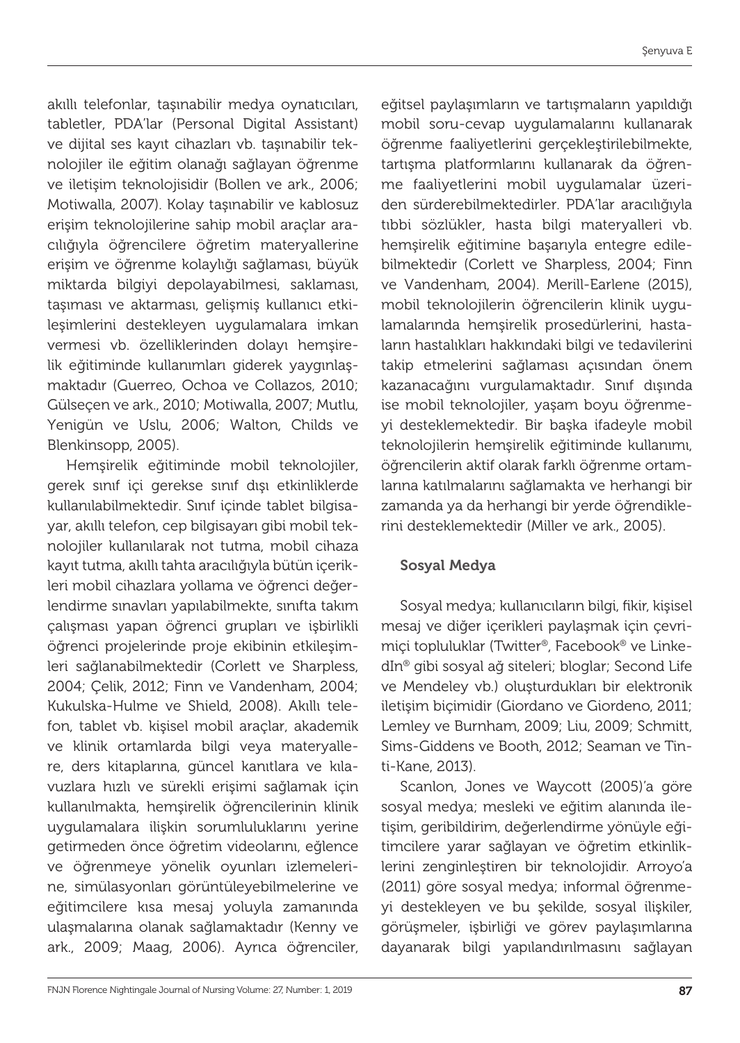akıllı telefonlar, taşınabilir medya oynatıcıları, tabletler, PDA'lar (Personal Digital Assistant) ve dijital ses kayıt cihazları vb. taşınabilir teknolojiler ile eğitim olanağı sağlayan öğrenme ve iletişim teknolojisidir (Bollen ve ark., 2006; Motiwalla, 2007). Kolay taşınabilir ve kablosuz erişim teknolojilerine sahip mobil araçlar aracılığıyla öğrencilere öğretim materyallerine erişim ve öğrenme kolaylığı sağlaması, büyük miktarda bilgiyi depolayabilmesi, saklaması, taşıması ve aktarması, gelişmiş kullanıcı etkileşimlerini destekleyen uygulamalara imkan vermesi vb. özelliklerinden dolayı hemşirelik eğitiminde kullanımları giderek yaygınlaşmaktadır (Guerreo, Ochoa ve Collazos, 2010; Gülseçen ve ark., 2010; Motiwalla, 2007; Mutlu, Yenigün ve Uslu, 2006; Walton, Childs ve Blenkinsopp, 2005).

Hemşirelik eğitiminde mobil teknolojiler, gerek sınıf içi gerekse sınıf dışı etkinliklerde kullanılabilmektedir. Sınıf içinde tablet bilgisayar, akıllı telefon, cep bilgisayarı gibi mobil teknolojiler kullanılarak not tutma, mobil cihaza kayıt tutma, akıllı tahta aracılığıyla bütün içerikleri mobil cihazlara yollama ve öğrenci değerlendirme sınavları yapılabilmekte, sınıfta takım çalışması yapan öğrenci grupları ve işbirlikli öğrenci projelerinde proje ekibinin etkileşimleri sağlanabilmektedir (Corlett ve Sharpless, 2004; Çelik, 2012; Finn ve Vandenham, 2004; Kukulska-Hulme ve Shield, 2008). Akıllı telefon, tablet vb. kişisel mobil araçlar, akademik ve klinik ortamlarda bilgi veya materyallere, ders kitaplarına, güncel kanıtlara ve kılavuzlara hızlı ve sürekli erişimi sağlamak için kullanılmakta, hemşirelik öğrencilerinin klinik uygulamalara ilişkin sorumluluklarını yerine getirmeden önce öğretim videolarını, eğlence ve öğrenmeye yönelik oyunları izlemelerine, simülasyonları görüntüleyebilmelerine ve eğitimcilere kısa mesaj yoluyla zamanında ulaşmalarına olanak sağlamaktadır (Kenny ve ark., 2009; Maag, 2006). Ayrıca öğrenciler,

eğitsel paylaşımların ve tartışmaların yapıldığı mobil soru-cevap uygulamalarını kullanarak öğrenme faaliyetlerini gerçekleştirilebilmekte, tartışma platformlarını kullanarak da öğrenme faaliyetlerini mobil uygulamalar üzeriden sürderebilmektedirler. PDA'lar aracılığıyla tıbbi sözlükler, hasta bilgi materyalleri vb. hemşirelik eğitimine başarıyla entegre edilebilmektedir (Corlett ve Sharpless, 2004; Finn ve Vandenham, 2004). Merill-Earlene (2015), mobil teknolojilerin öğrencilerin klinik uygulamalarında hemşirelik prosedürlerini, hastaların hastalıkları hakkındaki bilgi ve tedavilerini takip etmelerini sağlaması açısından önem kazanacağını vurgulamaktadır. Sınıf dışında ise mobil teknolojiler, yaşam boyu öğrenmeyi desteklemektedir. Bir başka ifadeyle mobil teknolojilerin hemşirelik eğitiminde kullanımı, öğrencilerin aktif olarak farklı öğrenme ortamlarına katılmalarını sağlamakta ve herhangi bir zamanda ya da herhangi bir yerde öğrendiklerini desteklemektedir (Miller ve ark., 2005).

#### Sosyal Medya

Sosyal medya; kullanıcıların bilgi, fikir, kişisel mesaj ve diğer içerikleri paylaşmak için çevrimiçi topluluklar (Twitter®, Facebook® ve LinkedIn® gibi sosyal ağ siteleri; bloglar; Second Life ve Mendeley vb.) oluşturdukları bir elektronik iletişim biçimidir (Giordano ve Giordeno, 2011; Lemley ve Burnham, 2009; Liu, 2009; Schmitt, Sims-Giddens ve Booth, 2012; Seaman ve Tinti-Kane, 2013).

Scanlon, Jones ve Waycott (2005)'a göre sosyal medya; mesleki ve eğitim alanında iletişim, geribildirim, değerlendirme yönüyle eğitimcilere yarar sağlayan ve öğretim etkinliklerini zenginleştiren bir teknolojidir. Arroyo'a (2011) göre sosyal medya; informal öğrenmeyi destekleyen ve bu şekilde, sosyal ilişkiler, görüşmeler, işbirliği ve görev paylaşımlarına dayanarak bilgi yapılandırılmasını sağlayan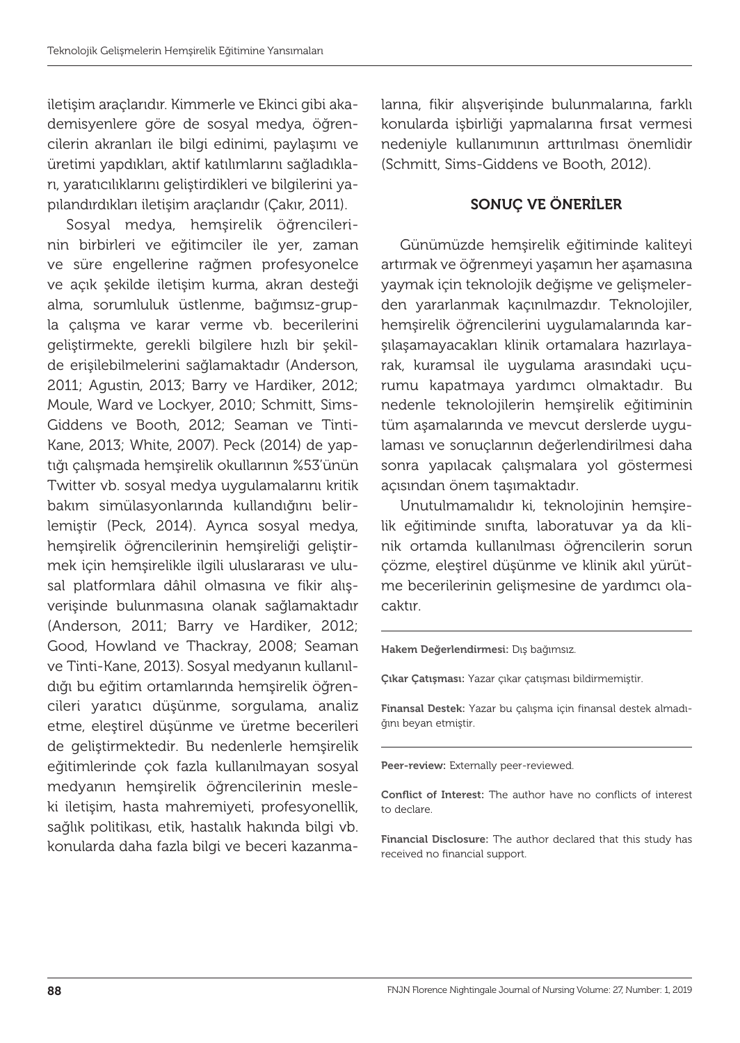iletişim araçlarıdır. Kimmerle ve Ekinci gibi akademisyenlere göre de sosyal medya, öğrencilerin akranları ile bilgi edinimi, paylaşımı ve üretimi yapdıkları, aktif katılımlarını sağladıkları, yaratıcılıklarını geliştirdikleri ve bilgilerini yapılandırdıkları iletişim araçlarıdır (Çakır, 2011).

Sosyal medya, hemşirelik öğrencilerinin birbirleri ve eğitimciler ile yer, zaman ve süre engellerine rağmen profesyonelce ve açık şekilde iletişim kurma, akran desteği alma, sorumluluk üstlenme, bağımsız-grupla çalışma ve karar verme vb. becerilerini geliştirmekte, gerekli bilgilere hızlı bir şekilde erişilebilmelerini sağlamaktadır (Anderson, 2011; Agustin, 2013; Barry ve Hardiker, 2012; Moule, Ward ve Lockyer, 2010; Schmitt, Sims-Giddens ve Booth, 2012; Seaman ve Tinti-Kane, 2013; White, 2007). Peck (2014) de yaptığı çalışmada hemşirelik okullarının %53'ünün Twitter vb. sosyal medya uygulamalarını kritik bakım simülasyonlarında kullandığını belirlemiştir (Peck, 2014). Ayrıca sosyal medya, hemşirelik öğrencilerinin hemşireliği geliştirmek için hemşirelikle ilgili uluslararası ve ulusal platformlara dâhil olmasına ve fikir alışverişinde bulunmasına olanak sağlamaktadır (Anderson, 2011; Barry ve Hardiker, 2012; Good, Howland ve Thackray, 2008; Seaman ve Tinti-Kane, 2013). Sosyal medyanın kullanıldığı bu eğitim ortamlarında hemşirelik öğrencileri yaratıcı düşünme, sorgulama, analiz etme, eleştirel düşünme ve üretme becerileri de geliştirmektedir. Bu nedenlerle hemşirelik eğitimlerinde çok fazla kullanılmayan sosyal medyanın hemşirelik öğrencilerinin mesleki iletişim, hasta mahremiyeti, profesyonellik, sağlık politikası, etik, hastalık hakında bilgi vb. konularda daha fazla bilgi ve beceri kazanmalarına, fikir alışverişinde bulunmalarına, farklı konularda işbirliği yapmalarına fırsat vermesi nedeniyle kullanımının arttırılması önemlidir (Schmitt, Sims-Giddens ve Booth, 2012).

### SONUÇ VE ÖNERİLER

Günümüzde hemşirelik eğitiminde kaliteyi artırmak ve öğrenmeyi yaşamın her aşamasına yaymak için teknolojik değişme ve gelişmelerden yararlanmak kaçınılmazdır. Teknolojiler, hemşirelik öğrencilerini uygulamalarında karşılaşamayacakları klinik ortamalara hazırlayarak, kuramsal ile uygulama arasındaki uçurumu kapatmaya yardımcı olmaktadır. Bu nedenle teknolojilerin hemşirelik eğitiminin tüm aşamalarında ve mevcut derslerde uygulaması ve sonuçlarının değerlendirilmesi daha sonra yapılacak çalışmalara yol göstermesi açısından önem taşımaktadır.

Unutulmamalıdır ki, teknolojinin hemşirelik eğitiminde sınıfta, laboratuvar ya da klinik ortamda kullanılması öğrencilerin sorun çözme, eleştirel düşünme ve klinik akıl yürütme becerilerinin gelişmesine de yardımcı olacaktır.

Hakem Değerlendirmesi: Dış bağımsız.

Çıkar Çatışması: Yazar çıkar çatışması bildirmemiştir.

Finansal Destek: Yazar bu çalışma için finansal destek almadığını beyan etmiştir.

Peer-review: Externally peer-reviewed.

Conflict of Interest: The author have no conflicts of interest to declare.

Financial Disclosure: The author declared that this study has received no financial support.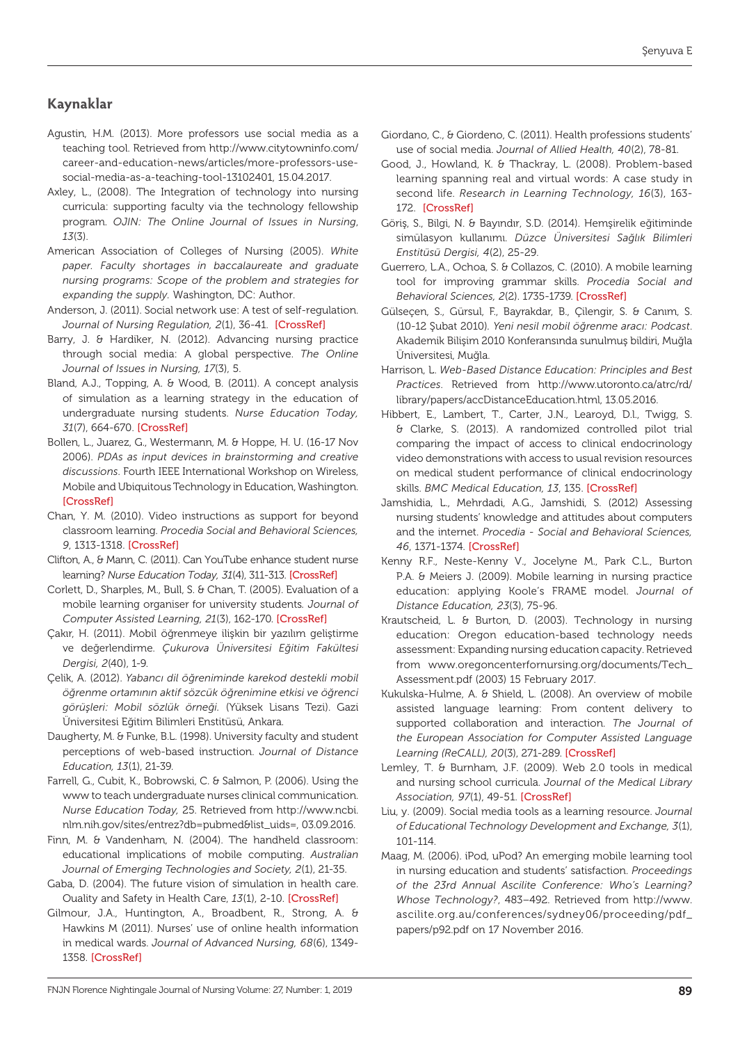#### **Kaynaklar**

Agustin, H.M. (2013). More professors use social media as a teaching tool. Retrieved from http://www.citytowninfo.com/ career-and-education-news/articles/more-professors-usesocial-media-as-a-teaching-tool-13102401, 15.04.2017.

- Axley, L., (2008). The Integration of technology into nursing curricula: supporting faculty via the technology fellowship program. *OJIN: The Online Journal of Issues in Nursing*, *13*(3).
- American Association of Colleges of Nursing (2005). *White paper. Faculty shortages in baccalaureate and graduate nursing programs: Scope of the problem and strategies for expanding the supply.* Washington, DC: Author.
- Anderson, J. (2011). Social network use: A test of self-regulation. *Journal of Nursing Regulation, 2*(1), 36-41. [\[CrossRef\]](https://doi.org/10.1016/S2155-8256(15)30300-8)
- Barry, J. & Hardiker, N. (2012). Advancing nursing practice through social media: A global perspective. *The Online Journal of Issues in Nursing, 17*(3), 5.
- Bland, A.J., Topping, A. & Wood, B. (2011). A concept analysis of simulation as a learning strategy in the education of undergraduate nursing students. *Nurse Education Today, 31*(7), 664-670. [\[CrossRef\]](https://doi.org/10.1016/j.nedt.2010.10.013)
- Bollen, L., Juarez, G., Westermann, M. & Hoppe, H. U. (16-17 Nov 2006). *PDAs as input devices in brainstorming and creative discussions*. Fourth IEEE International Workshop on Wireless, Mobile and Ubiquitous Technology in Education, Washington. [\[CrossRef\]](https://doi.org/10.1109/WMTE.2006.261362)
- Chan, Y. M. (2010). Video instructions as support for beyond classroom learning. *Procedia Social and Behavioral Sciences, 9*, 1313-1318. [\[CrossRef\]](https://doi.org/10.1016/j.sbspro.2010.12.326)
- Clifton, A., & Mann, C. (2011). Can YouTube enhance student nurse learning? *Nurse Education Today, 31*(4), 311-313. [\[CrossRef\]](https://doi.org/10.1016/j.nedt.2010.10.004)
- Corlett, D., Sharples, M., Bull, S. & Chan, T. (2005). Evaluation of a mobile learning organiser for university students*. Journal of Computer Assisted Learning, 21*(3), 162-170. [\[CrossRef\]](https://doi.org/10.1111/j.1365-2729.2005.00124.x)
- Çakır, H. (2011). Mobil öğrenmeye ilişkin bir yazılım geliştirme ve değerlendirme. *Çukurova Üniversitesi Eğitim Fakültesi Dergisi, 2*(40), 1-9.
- Çelik, A. (2012). *Yabancı dil öğreniminde karekod destekli mobil öğrenme ortamının aktif sözcük öğrenimine etkisi ve öğrenci görüşleri: Mobil sözlük örneği.* (Yüksek Lisans Tezi). Gazi Üniversitesi Eğitim Bilimleri Enstitüsü, Ankara.
- Daugherty, M. & Funke, B.L. (1998). University faculty and student perceptions of web-based instruction. *Journal of Distance Education, 13*(1), 21-39.
- Farrell, G., Cubit, K., Bobrowski, C. & Salmon, P. (2006). Using the www to teach undergraduate nurses clinical communication. *Nurse Education Today,* 25. Retrieved from http://www.ncbi. nlm.nih.gov/sites/entrez?db=pubmed&list\_uids=, 03.09.2016.
- Finn, M. & Vandenham, N. (2004). The handheld classroom: educational implications of mobile computing. *Australian Journal of Emerging Technologies and Society, 2*(1), 21-35.
- Gaba, D. (2004). The future vision of simulation in health care. Ouality and Safety in Health Care, *13*(1), 2-10. [\[CrossRef\]](https://doi.org/10.1136/qshc.2004.009878)
- Gilmour, J.A., Huntington, A., Broadbent, R., Strong, A. & Hawkins M (2011). Nurses' use of online health information in medical wards. *Journal of Advanced Nursing, 68*(6), 1349- 1358. [\[CrossRef\]](https://doi.org/10.1111/j.1365-2648.2011.05845.x)
- Giordano, C., & Giordeno, C. (2011). Health professions students' use of social media. *Journal of Allied Health, 40*(2), 78-81.
- Good, J., Howland, K. & Thackray, L. (2008). Problem-based learning spanning real and virtual words: A case study in second life. *Research in Learning Technology, 16*(3), 163- 172. [\[CrossRef\]](https://doi.org/10.3402/rlt.v16i3.10895)
- Göriş, S., Bilgi, N. & Bayındır, S.D. (2014). Hemşirelik eğitiminde simülasyon kullanımı. *Düzce Üniversitesi Sağlık Bilimleri Enstitüsü Dergisi, 4*(2), 25-29.
- Guerrero, L.A., Ochoa, S. & Collazos, C. (2010). A mobile learning tool for improving grammar skills. *Procedia Social and Behavioral Sciences, 2*(2). 1735-1739. [\[CrossRef\]](https://doi.org/10.1016/j.sbspro.2010.03.975)
- Gülseçen, S., Gürsul, F., Bayrakdar, B., Çilengir, S. & Canım, S. (10-12 Şubat 2010)*. Yeni nesil mobil öğrenme aracı: Podcast*. Akademik Bilişim 2010 Konferansında sunulmuş bildiri, Muğla Üniversitesi, Muğla.
- Harrison, L. *Web-Based Distance Education: Principles and Best Practices*. Retrieved from http://www.utoronto.ca/atrc/rd/ library/papers/accDistanceEducation.html, 13.05.2016.
- Hibbert, E., Lambert, T., Carter, J.N., Learoyd, D.l., Twigg, S. & Clarke, S. (2013). A randomized controlled pilot trial comparing the impact of access to clinical endocrinology video demonstrations with access to usual revision resources on medical student performance of clinical endocrinology skills. *BMC Medical Education, 13*, 135. [\[CrossRef\]](https://doi.org/10.1186/1472-6920-13-135)
- Jamshidia, L., Mehrdadi, A.G., Jamshidi, S. (2012) Assessing nursing students' knowledge and attitudes about computers and the internet. *Procedia - Social and Behavioral Sciences, 46*, 1371-1374. [\[CrossRef\]](https://doi.org/10.1016/j.sbspro.2012.05.304)
- Kenny R.F., Neste-Kenny V., Jocelyne M., Park C.L., Burton P.A. & Meiers J. (2009). Mobile learning in nursing practice education: applying Koole's FRAME model. *Journal of Distance Education, 23*(3), 75-96.
- Krautscheid, L. & Burton, D. (2003). Technology in nursing education: Oregon education-based technology needs assessment: Expanding nursing education capacity. Retrieved from www.oregoncenterfornursing.org/documents/Tech\_ Assessment.pdf (2003) 15 February 2017.
- Kukulska-Hulme, A. & Shield, L. (2008). An overview of mobile assisted language learning: From content delivery to supported collaboration and interaction. *The Journal of the European Association for Computer Assisted Language Learning (ReCALL), 20*(3), 271-289. [\[CrossRef\]](https://doi.org/10.1017/S0958344008000335)
- Lemley, T. & Burnham, J.F. (2009). Web 2.0 tools in medical and nursing school curricula. *Journal of the Medical Library Association, 97*(1), 49-51. [\[CrossRef\]](https://doi.org/10.3163/1536-5050.97.1.010)
- Liu, y. (2009). Social media tools as a learning resource. *Journal of Educational Technology Development and Exchange, 3*(1), 101-114.
- Maag, M. (2006). iPod, uPod? An emerging mobile learning tool in nursing education and students' satisfaction. *Proceedings of the 23rd Annual Ascilite Conference: Who's Learning? Whose Technology?*, 483–492. Retrieved from http://www. ascilite.org.au/conferences/sydney06/proceeding/pdf\_ papers/p92.pdf on 17 November 2016.